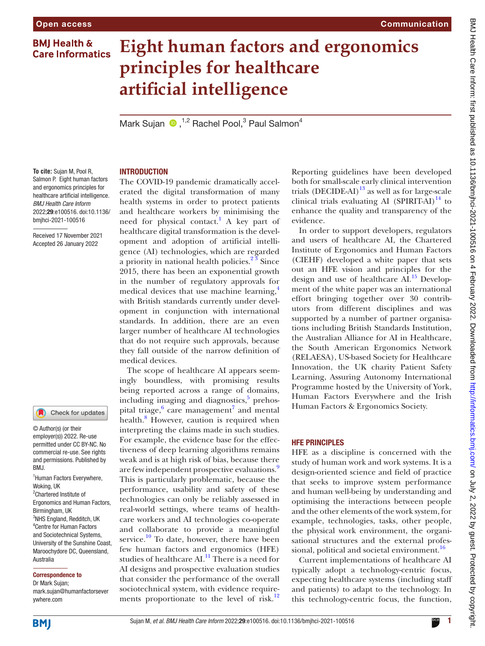# **Eight human factors and ergonomics principles for healthcare artificial intelligence**

Mark Sujan <sup>1,2</sup> Rachel Pool,<sup>3</sup> Paul Salmon<sup>4</sup>

**To cite:** Sujan M, Pool R, Salmon P. Eight human factors and ergonomics principles for healthcare artificial intelligence. *BMJ Health Care Inform* 2022;29:e100516. doi:10.1136/ bmjhci-2021-100516

Received 17 November 2021 Accepted 26 January 2022

## Check for updates

© Author(s) (or their employer(s)) 2022. Re-use permitted under CC BY-NC. No commercial re-use. See rights and permissions. Published by BMJ.

1 Human Factors Everywhere, Woking, UK <sup>2</sup>Chartered Institute of Ergonomics and Human Factors, Birmingham, UK <sup>3</sup>NHS England, Redditch, UK 4 Centre for Human Factors and Sociotechnical Systems, University of the Sunshine Coast, Maroochydore DC, Queensland, Australia

#### Correspondence to

Dr Mark Sujan; mark.sujan@humanfactorsever ywhere.com

## INTRODUCTION

The COVID-19 pandemic dramatically accelerated the digital transformation of many health systems in order to protect patients and healthcare workers by minimising the need for physical contact.<sup>[1](#page-3-0)</sup> A key part of healthcare digital transformation is the development and adoption of artificial intelligence (AI) technologies, which are regarded a priority in national health policies.<sup>23</sup> Since 2015, there has been an exponential growth in the number of regulatory approvals for medical devices that use machine learning,<sup>[4](#page-3-2)</sup> with British standards currently under development in conjunction with international standards. In addition, there are an even larger number of healthcare AI technologies that do not require such approvals, because they fall outside of the narrow definition of medical devices.

The scope of healthcare AI appears seemingly boundless, with promising results being reported across a range of domains, including imaging and diagnostics,<sup>[5](#page-3-3)</sup> prehos-pital triage,<sup>[6](#page-3-4)</sup> care management<sup>[7](#page-3-5)</sup> and mental health.<sup>8</sup> However, caution is required when interpreting the claims made in such studies. For example, the evidence base for the effectiveness of deep learning algorithms remains weak and is at high risk of bias, because there are few independent prospective evaluations.<sup>[9](#page-3-7)</sup> This is particularly problematic, because the performance, usability and safety of these technologies can only be reliably assessed in real-world settings, where teams of healthcare workers and AI technologies co-operate and collaborate to provide a meaningful service.<sup>10</sup> To date, however, there have been few human factors and ergonomics (HFE) studies of healthcare AI.<sup>11</sup> There is a need for AI designs and prospective evaluation studies that consider the performance of the overall sociotechnical system, with evidence require-ments proportionate to the level of risk.<sup>[12](#page-3-10)</sup>

Reporting guidelines have been developed both for small-scale early clinical intervention trials (DECIDE-AI) $^{13}$  as well as for large-scale clinical trials evaluating AI (SPIRIT-AI) $^{14}$  to enhance the quality and transparency of the evidence.

Communication

In order to support developers, regulators and users of healthcare AI, the Chartered Institute of Ergonomics and Human Factors (CIEHF) developed a white paper that sets out an HFE vision and principles for the design and use of healthcare AI.<sup>15</sup> Development of the white paper was an international effort bringing together over 30 contributors from different disciplines and was supported by a number of partner organisations including British Standards Institution, the Australian Alliance for AI in Healthcare, the South American Ergonomics Network (RELAESA), US-based Society for Healthcare Innovation, the UK charity Patient Safety Learning, Assuring Autonomy International Programme hosted by the University of York, Human Factors Everywhere and the Irish Human Factors & Ergonomics Society.

#### HFE PRINCIPLES

HFE as a discipline is concerned with the study of human work and work systems. It is a design-oriented science and field of practice that seeks to improve system performance and human well-being by understanding and optimising the interactions between people and the other elements of the work system, for example, technologies, tasks, other people, the physical work environment, the organisational structures and the external professional, political and societal environment.<sup>16</sup>

Current implementations of healthcare AI typically adopt a technology-centric focus, expecting healthcare systems (including staff and patients) to adapt to the technology. In this technology-centric focus, the function,

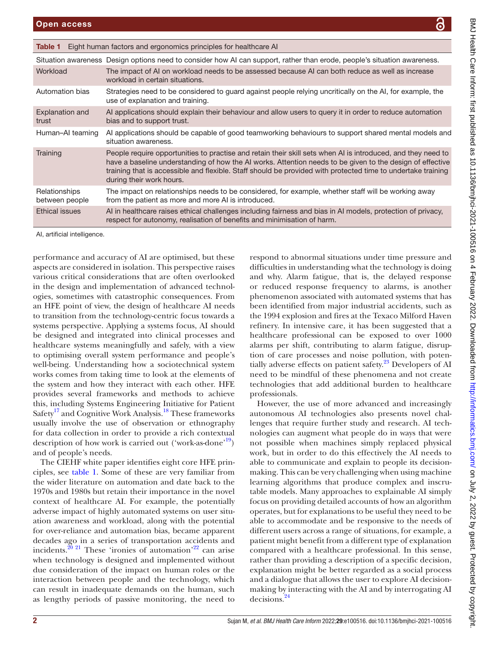<span id="page-1-0"></span>

| Eight human factors and ergonomics principles for healthcare AI<br>Table 1 |                                                                                                                                                                                                                                                                                                                                                                       |
|----------------------------------------------------------------------------|-----------------------------------------------------------------------------------------------------------------------------------------------------------------------------------------------------------------------------------------------------------------------------------------------------------------------------------------------------------------------|
|                                                                            | Situation awareness Design options need to consider how AI can support, rather than erode, people's situation awareness.                                                                                                                                                                                                                                              |
| Workload                                                                   | The impact of AI on workload needs to be assessed because AI can both reduce as well as increase<br>workload in certain situations.                                                                                                                                                                                                                                   |
| Automation bias                                                            | Strategies need to be considered to guard against people relying uncritically on the AI, for example, the<br>use of explanation and training.                                                                                                                                                                                                                         |
| <b>Explanation and</b><br>trust                                            | Al applications should explain their behaviour and allow users to query it in order to reduce automation<br>bias and to support trust.                                                                                                                                                                                                                                |
| Human-AI teaming                                                           | AI applications should be capable of good teamworking behaviours to support shared mental models and<br>situation awareness.                                                                                                                                                                                                                                          |
| Training                                                                   | People require opportunities to practise and retain their skill sets when AI is introduced, and they need to<br>have a baseline understanding of how the AI works. Attention needs to be given to the design of effective<br>training that is accessible and flexible. Staff should be provided with protected time to undertake training<br>during their work hours. |
| Relationships<br>between people                                            | The impact on relationships needs to be considered, for example, whether staff will be working away<br>from the patient as more and more AI is introduced.                                                                                                                                                                                                            |
| <b>Ethical issues</b>                                                      | Al in healthcare raises ethical challenges including fairness and bias in Al models, protection of privacy,<br>respect for autonomy, realisation of benefits and minimisation of harm.                                                                                                                                                                                |

AI, artificial intelligence.

performance and accuracy of AI are optimised, but these aspects are considered in isolation. This perspective raises various critical considerations that are often overlooked in the design and implementation of advanced technologies, sometimes with catastrophic consequences. From an HFE point of view, the design of healthcare AI needs to transition from the technology-centric focus towards a systems perspective. Applying a systems focus, AI should be designed and integrated into clinical processes and healthcare systems meaningfully and safely, with a view to optimising overall system performance and people's well-being. Understanding how a sociotechnical system works comes from taking time to look at the elements of the system and how they interact with each other. HFE provides several frameworks and methods to achieve this, including Systems Engineering Initiative for Patient Safety<sup>17</sup> and Cognitive Work Analysis.<sup>18</sup> These frameworks usually involve the use of observation or ethnography for data collection in order to provide a rich contextual description of how work is carried out ('work-as-done'<sup>19</sup>) and of people's needs.

The CIEHF white paper identifies eight core HFE principles, see [table](#page-1-0) 1. Some of these are very familiar from the wider literature on automation and date back to the 1970s and 1980s but retain their importance in the novel context of healthcare AI. For example, the potentially adverse impact of highly automated systems on user situation awareness and workload, along with the potential for over-reliance and automation bias, became apparent decades ago in a series of transportation accidents and incidents.<sup>[20 21](#page-3-18)</sup> These 'ironies of automation'<sup>22</sup> can arise when technology is designed and implemented without due consideration of the impact on human roles or the interaction between people and the technology, which can result in inadequate demands on the human, such as lengthy periods of passive monitoring, the need to

respond to abnormal situations under time pressure and difficulties in understanding what the technology is doing and why. Alarm fatigue, that is, the delayed response or reduced response frequency to alarms, is another phenomenon associated with automated systems that has been identified from major industrial accidents, such as the 1994 explosion and fires at the Texaco Milford Haven refinery. In intensive care, it has been suggested that a healthcare professional can be exposed to over 1000 alarms per shift, contributing to alarm fatigue, disruption of care processes and noise pollution, with potentially adverse effects on patient safety. $2<sup>3</sup>$  Developers of AI need to be mindful of these phenomena and not create technologies that add additional burden to healthcare professionals.

However, the use of more advanced and increasingly autonomous AI technologies also presents novel challenges that require further study and research. AI technologies can augment what people do in ways that were not possible when machines simply replaced physical work, but in order to do this effectively the AI needs to able to communicate and explain to people its decisionmaking. This can be very challenging when using machine learning algorithms that produce complex and inscrutable models. Many approaches to explainable AI simply focus on providing detailed accounts of how an algorithm operates, but for explanations to be useful they need to be able to accommodate and be responsive to the needs of different users across a range of situations, for example, a patient might benefit from a different type of explanation compared with a healthcare professional. In this sense, rather than providing a description of a specific decision, explanation might be better regarded as a social process and a dialogue that allows the user to explore AI decisionmaking by interacting with the AI and by interrogating AI decisions.[24](#page-3-21)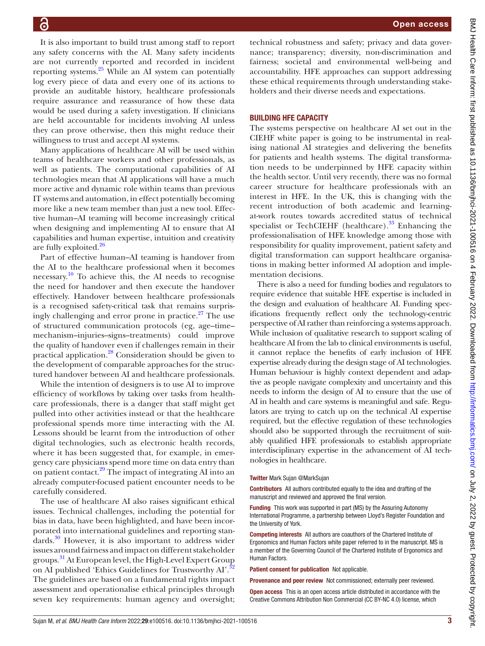It is also important to build trust among staff to report any safety concerns with the AI. Many safety incidents are not currently reported and recorded in incident reporting systems.[25](#page-3-22) While an AI system can potentially log every piece of data and every one of its actions to provide an auditable history, healthcare professionals require assurance and reassurance of how these data would be used during a safety investigation. If clinicians are held accountable for incidents involving AI unless they can prove otherwise, then this might reduce their willingness to trust and accept AI systems.

Many applications of healthcare AI will be used within teams of healthcare workers and other professionals, as well as patients. The computational capabilities of AI technologies mean that AI applications will have a much more active and dynamic role within teams than previous IT systems and automation, in effect potentially becoming more like a new team member than just a new tool. Effective human–AI teaming will become increasingly critical when designing and implementing AI to ensure that AI capabilities and human expertise, intuition and creativity are fully exploited.<sup>[26](#page-3-23)</sup>

Part of effective human–AI teaming is handover from the AI to the healthcare professional when it becomes necessary.<sup>[10](#page-3-8)</sup> To achieve this, the AI needs to recognise the need for handover and then execute the handover effectively. Handover between healthcare professionals is a recognised safety-critical task that remains surprisingly challenging and error prone in practice. $27$  The use of structured communication protocols (eg, age–time– mechanism–injuries–signs–treatments) could improve the quality of handover even if challenges remain in their practical application.[28](#page-3-25) Consideration should be given to the development of comparable approaches for the structured handover between AI and healthcare professionals.

While the intention of designers is to use AI to improve efficiency of workflows by taking over tasks from healthcare professionals, there is a danger that staff might get pulled into other activities instead or that the healthcare professional spends more time interacting with the AI. Lessons should be learnt from the introduction of other digital technologies, such as electronic health records, where it has been suggested that, for example, in emergency care physicians spend more time on data entry than on patient contact.<sup>[29](#page-3-26)</sup> The impact of integrating AI into an already computer-focused patient encounter needs to be carefully considered.

The use of healthcare AI also raises significant ethical issues. Technical challenges, including the potential for bias in data, have been highlighted, and have been incorporated into international guidelines and reporting standards[.30](#page-3-27) However, it is also important to address wider issues around fairness and impact on different stakeholder groups. [31](#page-3-28) At European level, the High-Level Expert Group on AI published 'Ethics Guidelines for Trustworthy AI'.<sup>32</sup> The guidelines are based on a fundamental rights impact assessment and operationalise ethical principles through seven key requirements: human agency and oversight;

technical robustness and safety; privacy and data governance; transparency; diversity, non-discrimination and fairness; societal and environmental well-being and accountability. HFE approaches can support addressing these ethical requirements through understanding stakeholders and their diverse needs and expectations.

## BUILDING HFE CAPACITY

The systems perspective on healthcare AI set out in the CIEHF white paper is going to be instrumental in realising national AI strategies and delivering the benefits for patients and health systems. The digital transformation needs to be underpinned by HFE capacity within the health sector. Until very recently, there was no formal career structure for healthcare professionals with an interest in HFE. In the UK, this is changing with the recent introduction of both academic and learningat-work routes towards accredited status of technical specialist or TechCIEHF (healthcare).<sup>33</sup> Enhancing the professionalisation of HFE knowledge among those with responsibility for quality improvement, patient safety and digital transformation can support healthcare organisations in making better informed AI adoption and implementation decisions.

There is also a need for funding bodies and regulators to require evidence that suitable HFE expertise is included in the design and evaluation of healthcare AI. Funding specifications frequently reflect only the technology-centric perspective of AI rather than reinforcing a systems approach. While inclusion of qualitative research to support scaling of healthcare AI from the lab to clinical environments is useful, it cannot replace the benefits of early inclusion of HFE expertise already during the design stage of AI technologies. Human behaviour is highly context dependent and adaptive as people navigate complexity and uncertainty and this needs to inform the design of AI to ensure that the use of AI in health and care systems is meaningful and safe. Regulators are trying to catch up on the technical AI expertise required, but the effective regulation of these technologies should also be supported through the recruitment of suitably qualified HFE professionals to establish appropriate interdisciplinary expertise in the advancement of AI technologies in healthcare.

#### Twitter Mark Sujan [@MarkSujan](https://twitter.com/MarkSujan)

Contributors All authors contributed equally to the idea and drafting of the manuscript and reviewed and approved the final version.

Funding This work was supported in part (MS) by the Assuring Autonomy International Programme, a partnership between Lloyd's Register Foundation and the University of York.

Competing interests All authors are coauthors of the Chartered Institute of Ergonomics and Human Factors white paper referred to in the manuscript. MS is a member of the Governing Council of the Chartered Institute of Ergonomics and Human Factors.

Patient consent for publication Not applicable.

Provenance and peer review Not commissioned; externally peer reviewed.

Open access This is an open access article distributed in accordance with the Creative Commons Attribution Non Commercial (CC BY-NC 4.0) license, which